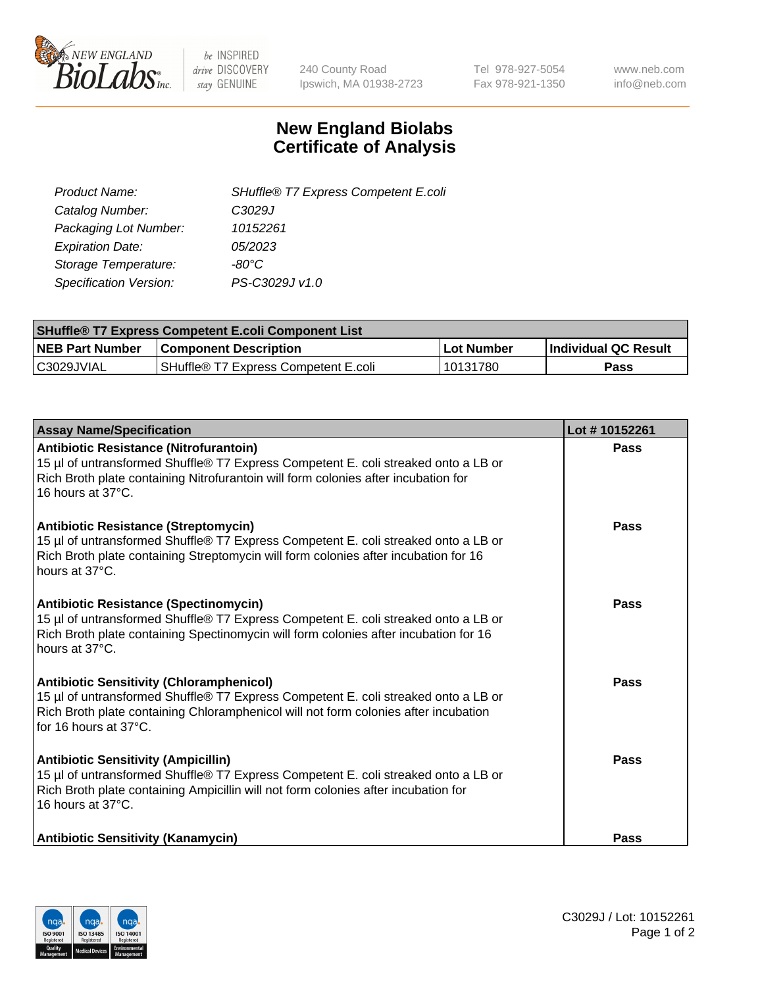

 $be$  INSPIRED drive DISCOVERY stay GENUINE

240 County Road Ipswich, MA 01938-2723 Tel 978-927-5054 Fax 978-921-1350 www.neb.com info@neb.com

## **New England Biolabs Certificate of Analysis**

| SHuffle® T7 Express Competent E.coli |
|--------------------------------------|
| C3029J                               |
| 10152261                             |
| 05/2023                              |
| -80°C.                               |
| PS-C3029J v1.0                       |
|                                      |

| <b>SHuffle<sup>®</sup> T7 Express Competent E.coli Component List</b> |                                      |            |                             |  |
|-----------------------------------------------------------------------|--------------------------------------|------------|-----------------------------|--|
| <b>NEB Part Number</b>                                                | <b>Component Description</b>         | Lot Number | <b>Individual QC Result</b> |  |
| C3029JVIAL                                                            | SHuffle® T7 Express Competent E.coli | 10131780   | Pass                        |  |

| <b>Assay Name/Specification</b>                                                                                                                                                                                                                       | Lot #10152261 |
|-------------------------------------------------------------------------------------------------------------------------------------------------------------------------------------------------------------------------------------------------------|---------------|
| Antibiotic Resistance (Nitrofurantoin)<br>15 µl of untransformed Shuffle® T7 Express Competent E. coli streaked onto a LB or<br>Rich Broth plate containing Nitrofurantoin will form colonies after incubation for<br>16 hours at 37°C.               | <b>Pass</b>   |
| <b>Antibiotic Resistance (Streptomycin)</b><br>15 µl of untransformed Shuffle® T7 Express Competent E. coli streaked onto a LB or<br>Rich Broth plate containing Streptomycin will form colonies after incubation for 16<br>hours at 37°C.            | Pass          |
| <b>Antibiotic Resistance (Spectinomycin)</b><br>15 µl of untransformed Shuffle® T7 Express Competent E. coli streaked onto a LB or<br>Rich Broth plate containing Spectinomycin will form colonies after incubation for 16<br>hours at 37°C.          | Pass          |
| <b>Antibiotic Sensitivity (Chloramphenicol)</b><br>15 µl of untransformed Shuffle® T7 Express Competent E. coli streaked onto a LB or<br>Rich Broth plate containing Chloramphenicol will not form colonies after incubation<br>for 16 hours at 37°C. | Pass          |
| <b>Antibiotic Sensitivity (Ampicillin)</b><br>15 µl of untransformed Shuffle® T7 Express Competent E. coli streaked onto a LB or<br>Rich Broth plate containing Ampicillin will not form colonies after incubation for<br>16 hours at 37°C.           | Pass          |
| <b>Antibiotic Sensitivity (Kanamycin)</b>                                                                                                                                                                                                             | Pass          |